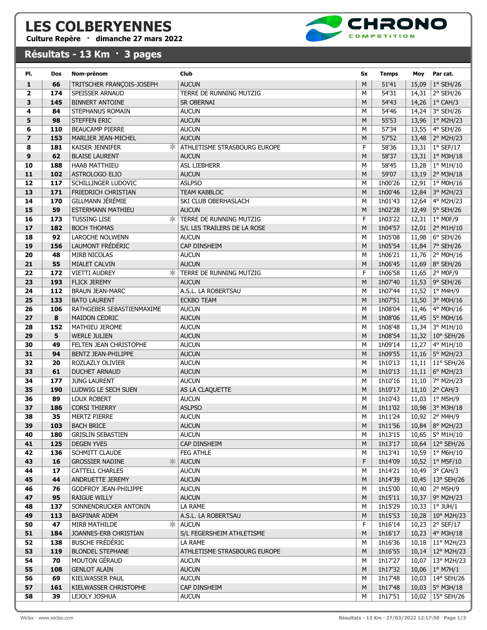## LES COLBERYENNES

## Culture Repère · dimanche 27 mars 2022

## Résultats - 13 Km · 3 pages



| PI.            | Dos       | Nom-prénom                                 | Club                          | Sx                          | <b>Temps</b>       | Moy   | Par cat.                              |
|----------------|-----------|--------------------------------------------|-------------------------------|-----------------------------|--------------------|-------|---------------------------------------|
| $\mathbf{1}$   | 66        | TRITSCHER FRANÇOIS-JOSEPH                  | <b>AUCUN</b>                  | M                           | 51'41              | 15,09 | $1°$ SEH/26                           |
| $\overline{2}$ | 174       | SPEISSER ARNAUD                            | TERRE DE RUNNING MUTZIG       | M                           | 54'31              | 14,31 | 2° SEH/26                             |
| 3              | 145       | <b>BINNERT ANTOINE</b>                     | sr obernai                    | М                           | 54'43              | 14,26 | $1°$ CAH/3                            |
| 4              | 84        | STEPHANUS ROMAIN                           | <b>AUCUN</b>                  | M                           | 54'46              |       | 14,24 3° SEH/26                       |
| 5              | 98        | <b>STEFFEN ERIC</b>                        | <b>AUCUN</b>                  | M                           | 55'53              |       | 13,96   $1^{\circ}$ M2H/23            |
| 6              | 110       | <b>BEAUCAMP PIERRE</b>                     | <b>AUCUN</b>                  | M                           | 57'34              |       | 13,55 4° SEH/26                       |
| $\overline{ }$ | 153       | MARLIER JEAN-MICHEL                        | <b>AUCUN</b>                  | M                           | 57'52              |       | 13,48 2° M2H/23                       |
| 8              | 181       | <b>KAISER JENNIFER</b>                     | ATHLETISME STRASBOURG EUROPE  | F                           | 58'36              | 13,31 | $1°$ SEF/17                           |
| 9              | 62        | <b>BLAISE LAURENT</b>                      | <b>AUCUN</b>                  | M                           | 58'37              |       | 13,31   $1^{\circ}$ M3H/18            |
| 10             | 188       | <b>HAAB MATTHIEU</b>                       | <b>ASL LIEBHERR</b>           | М                           | 58'45              | 13,28 | $1°$ M1H/10                           |
| 11             | 102       | <b>ASTROLOGO ELIO</b>                      | <b>AUCUN</b>                  | M                           | 59'07              | 13,19 | 2° M3H/18                             |
| 12             | 117       | SCHILLINGER LUDOVIC                        | <b>ASLPSO</b>                 | М                           | 1h00'26            | 12,91 | 1° M0H/16                             |
| 13             | 171       | FRIEDRICH CHRISTIAN                        | <b>TEAM KABBLOC</b>           | M                           | 1h00'46            | 12,84 | 3° M2H/23                             |
| 14             | 170       | GILLMANN JÉRÉMIE                           | SKI CLUB OBERHASLACH          | М                           | 1h01'43            | 12,64 | 4° M2H/23                             |
| 15             | 59        | <b>ESTERMANN MATHIEU</b>                   | <b>AUCUN</b>                  | M                           | 1h02'28            | 12,49 | $5°$ SEH/26                           |
| 16             | 173       | ж.<br><b>TUSSING LISE</b>                  | TERRE DE RUNNING MUTZIG       | F                           | 1h03'22            | 12,31 | $1°$ MOF/9                            |
| 17             | 182       | <b>BOCH THOMAS</b>                         | S/L LES TRAILERS DE LA ROSE   | M                           | 1h04'57            | 12,01 | 2° M1H/10                             |
| 18             | 92        | <b>LAROCHE NOLWENN</b>                     | <b>AUCUN</b>                  | M                           | 1h05'08            | 11,98 | 6° SEH/26                             |
| 19             | 156       | LAUMONT FRÉDÉRIC                           | CAP DINSHEIM                  | M                           | 1h05'54            | 11,84 | 7° SEH/26                             |
| 20             | 48        | MIRB NICOLAS                               | <b>AUCUN</b>                  | M                           | 1h06'21            | 11,76 | 2° M0H/16                             |
| 21             | 55        | MIALET CALVIN                              | <b>AUCUN</b>                  | M                           | 1h06'45            | 11,69 | 8° SEH/26                             |
| 22             | 172       | <b>VIETTI AUDREY</b><br>ж                  | TERRE DE RUNNING MUTZIG       | F                           | 1h06'58            |       | 11,65 2° M0F/9                        |
| 23             | 193       | <b>FLICK JEREMY</b>                        | <b>AUCUN</b>                  | M                           | 1h07'40            |       | 11,53 9° SEH/26                       |
| 24             | 112       | <b>BRAUN JEAN-MARC</b>                     | A.S.L. LA ROBERTSAU           | М                           | 1h07'44            | 11,52 | 1° M4H/9                              |
| 25             | 133       | <b>BATO LAURENT</b>                        | <b>ECKBO TEAM</b>             | M                           | 1h07'51            | 11,50 | 3° M0H/16                             |
| 26             | 106       | RATHGEBER SEBASTIENMAXIME                  | <b>AUCUN</b>                  | М                           | 1h08'04            | 11,46 | 4° M0H/16                             |
| 27             | 8         | <b>MAIDON CEDRIC</b>                       | <b>AUCUN</b>                  | M                           | 1h08'06            | 11,45 | 5° M0H/16                             |
| 28             | 152       | MATHIEU JEROME                             | <b>AUCUN</b>                  | M                           | 1h08'48            | 11,34 | 3° M1H/10                             |
| 29             | 5         | <b>WERLE JULIEN</b>                        | <b>AUCUN</b>                  | M                           | 1h08'54            | 11,32 | 10° SEH/26                            |
| 30             | 49        | FELTEN JEAN CHRISTOPHE                     | <b>AUCUN</b>                  | М                           | 1h09'14            | 11,27 | 4° M1H/10                             |
| 31             | 94        | BENTZ JEAN-PHILIPPE                        | <b>AUCUN</b>                  | M                           | 1h09'55            | 11,16 | 5° M2H/23                             |
| 32             | 20        | ROZLAZLY OLIVIER                           | <b>AUCUN</b>                  | M                           | 1h10'13            | 11,11 | 11° SEH/26                            |
| 33             | 61        | DUCHET ARNAUD                              | <b>AUCUN</b>                  | M                           | 1h10'13            | 11,11 | 6° M2H/23                             |
| 34             | 177       | <b>JUNG LAURENT</b>                        | <b>AUCUN</b>                  | М                           | 1h10'16            | 11,10 | 7° M2H/23                             |
| 35<br>36       | 190<br>89 | LUDWIG LE SECH SUEN                        | AS LA CLAQUETTE               | M                           | 1h10'17            |       | 11,10 2° CAH/3                        |
| 37             | 186       | <b>LOUX ROBERT</b><br><b>CORSI THIERRY</b> | <b>AUCUN</b><br><b>ASLPSO</b> | M<br>M                      | 1h10'43<br>1h11'02 | 10,98 | 11,03 $ 1^{\circ}$ M5H/9<br>3° M3H/18 |
| 38             | 35        | <b>MERTZ PIERRE</b>                        | <b>AUCUN</b>                  | М                           | 1h11'24            | 10,92 | 2° M4H/9                              |
| 39             | 103       | <b>BACH BRICE</b>                          | <b>AUCUN</b>                  | $\mathsf{M}% _{0}^{\prime}$ | 1h11'56 $\vert$    |       | 10,84 8° M2H/23                       |
| 40             | 180       | <b>GRISLIN SEBASTIEN</b>                   | <b>AUCUN</b>                  | м                           | 1h13'15            | 10,65 | 5° M1H/10                             |
| 41             | 125       | <b>DEGEN YVES</b>                          | CAP DINSHEIM                  | M                           | 1h13'17            | 10,64 | 12° SEH/26                            |
| 42             | 136       | SCHMITT CLAUDE                             | <b>FEG ATHLE</b>              | М                           | 1h13'41            | 10,59 | $1^{\circ}$ M6H/10                    |
| 43             | 16        | <b>GROSSIER NADINE</b><br>≭                | <b>AUCUN</b>                  | F                           | 1h14'09            |       | 10,52   $1^{\circ}$ M5F/10            |
| 44             | 17        | <b>CATTELL CHARLES</b>                     | <b>AUCUN</b>                  | М                           | 1h14'21            | 10,49 | 3° CAH/3                              |
| 45             | 44        | ANDRUETTE JEREMY                           | <b>AUCUN</b>                  | M                           | 1h14'39            | 10,45 | 13° SEH/26                            |
| 46             | 76        | GODFROY JEAN-PHILIPPE                      | <b>AUCUN</b>                  | М                           | 1h15'00            | 10,40 | 2° M5H/9                              |
| 47             | 95        | <b>RAIGUE WILLY</b>                        | <b>AUCUN</b>                  | M                           | 1h15'11            |       | 10,37 9° M2H/23                       |
| 48             | 137       | SONNENDRUCKER ANTONIN                      | LA RAME                       | м                           | 1h15'29            |       | 10,33 $ 1^{\circ}$ JUH/1              |
| 49             | 113       | <b>BASPINAR ADEM</b>                       | A.S.L. LA ROBERTSAU           | M                           | 1h15'53            |       | 10,28 10° M2H/23                      |
| 50             | 47        | Ж.<br>MIRB MATHILDE                        | <b>AUCUN</b>                  | F.                          | 1h16'14            | 10,23 | $2°$ SEF/17                           |
| 51             | 184       | JOANNES-ERB CHRISTIAN                      | S/L FEGERSHEIM ATHLETISME     | M                           | 1h16'17            |       | 10,23 4° M3H/18                       |
| 52             | 138       | <b>BUSCHE FRÉDÉRIC</b>                     | LA RAME                       | М                           | 1h16'36            | 10,18 | 11° M2H/23                            |
| 53             | 119       | <b>BLONDEL STEPHANE</b>                    | ATHLETISME STRASBOURG EUROPE  | M                           | 1h16'55            | 10,14 | 12° M2H/23                            |
| 54             | 70        | MOUTON GÉRAUD                              | AUCUN                         | М                           | 1h17'27            | 10,07 | 13° M2H/23                            |
| 55             | 108       | <b>GENLOT ALAIN</b>                        | <b>AUCUN</b>                  | M                           | 1h17'32            | 10,06 | $1^\circ$ M7H/1                       |
| 56             | 69        | KIELWASSER PAUL                            | <b>AUCUN</b>                  | М                           | 1h17'48            | 10,03 | 14° SEH/26                            |
| 57             | 161       | KIELWASSER CHRISTOPHE                      | CAP DINSHEIM                  | M                           | 1h17'48            | 10,03 | 5° M3H/18                             |
| 58             | 39        | LEJOLY JOSHUA                              | <b>AUCUN</b>                  | М                           | 1h17'51            | 10,02 | 15° SEH/26                            |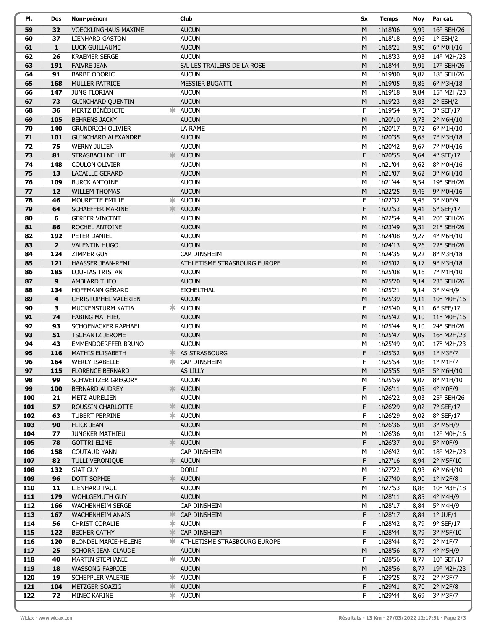| PI.        | Dos                     | Nom-prénom                                              | Club                         | Sx        | <b>Temps</b>       | Moy          | Par cat.               |
|------------|-------------------------|---------------------------------------------------------|------------------------------|-----------|--------------------|--------------|------------------------|
| 59         | 32                      | <b>VOECKLINGHAUS MAXIME</b>                             | <b>AUCUN</b>                 | M         | 1h18'06            | 9,99         | $16^{\circ}$ SEH/26    |
| 60         | 37                      | <b>LIENHARD GASTON</b>                                  | <b>AUCUN</b>                 | М         | 1h18'18            | 9,96         | $1°$ ESH/2             |
| 61         | $\mathbf{1}$            | LUCK GUILLAUME                                          | <b>AUCUN</b>                 | M         | 1h18'21            | 9,96         | 6° M0H/16              |
| 62         | 26                      | <b>KRAEMER SERGE</b>                                    | <b>AUCUN</b>                 | М         | 1h18'33            | 9,93         | 14° M2H/23             |
| 63         | 191                     | <b>FAIVRE JEAN</b>                                      | S/L LES TRAILERS DE LA ROSE  | M         | 1h18'44            | 9,91         | 17° SEH/26             |
| 64         | 91                      | <b>BARBE ODORIC</b>                                     | <b>AUCUN</b>                 | М         | 1h19'00            | 9,87         | 18° SEH/26             |
| 65         | 168                     | <b>MULLER PATRICE</b>                                   | <b>MESSIER BUGATTI</b>       | M         | 1h19'05            | 9,86         | 6° M3H/18              |
| 66         | 147                     | <b>JUNG FLORIAN</b>                                     | <b>AUCUN</b>                 | М         | 1h19'18            | 9,84         | 15° M2H/23             |
| 67         | 73                      | <b>GUINCHARD QUENTIN</b>                                | <b>AUCUN</b>                 | M         | 1h19'23            | 9,83         | 2° ESH/2               |
| 68         | 36                      | <b>MERTZ BÉNÉDICTE</b><br>∗                             | <b>AUCUN</b>                 | F         | 1h19'54            | 9,76         | 3° SEF/17              |
| 69         | 105                     | <b>BEHRENS JACKY</b>                                    | <b>AUCUN</b>                 | M         | 1h20'10            | 9,73         | 2° M6H/10              |
| 70         | 140                     | <b>GRUNDRICH OLIVIER</b>                                | LA RAME                      | М         | 1h20'17            | 9,72         | 6° M1H/10              |
| 71         | 101                     | <b>GUINCHARD ALEXANDRE</b>                              | <b>AUCUN</b>                 | M         | 1h20'35            | 9,68         | 7° M3H/18              |
| 72         | 75                      | <b>WERNY JULIEN</b>                                     | <b>AUCUN</b>                 | М         | 1h20'42            | 9,67         | 7° M0H/16              |
| 73         | 81                      | 氺<br><b>STRASBACH NELLIE</b>                            | <b>AUCUN</b>                 | F         | 1h20'55            | 9,64         | 4° SEF/17              |
| 74         | 148                     | <b>COULON OLIVIER</b>                                   | <b>AUCUN</b>                 | М         | 1h21'04            | 9,62         | 8° M0H/16              |
| 75         | 13                      | <b>LACAILLE GERARD</b>                                  | <b>AUCUN</b>                 | M         | 1h21'07            | 9,62         | 3° M6H/10              |
| 76         | 109                     | <b>BURCK ANTOINE</b>                                    | <b>AUCUN</b>                 | М         | 1h21'44            | 9,54         | 19° SEH/26             |
| 77         | 12                      | <b>WILLEM THOMAS</b>                                    | <b>AUCUN</b>                 | M         | 1h22'25            | 9,46         | 9° M0H/16              |
| 78         | 46                      | *<br>MOURETTE EMILIE                                    | <b>AUCUN</b>                 | F         | 1h22'32            | 9,45         | 3° M0F/9               |
| 79         | 64                      | <b>SCHAEFFER MARINE</b><br>氺                            | <b>AUCUN</b>                 | F         | 1h22'53            | 9,41         | 5° SEF/17              |
| 80         | 6                       | <b>GERBER VINCENT</b>                                   | <b>AUCUN</b>                 | М         | 1h22'54            | 9,41         | 20° SEH/26             |
| 81         | 86                      | ROCHEL ANTOINE                                          | <b>AUCUN</b>                 | M         | 1h23'49            | 9,31         | 21° SEH/26             |
| 82         | 192                     | PETER DANIEL                                            | <b>AUCUN</b>                 | М         | 1h24'08            | 9,27         | 4° M6H/10              |
| 83         | $\overline{2}$          | <b>VALENTIN HUGO</b>                                    | <b>AUCUN</b>                 | M         | 1h24'13            | 9,26         | 22° SEH/26             |
| 84         | 124                     | <b>ZIMMER GUY</b>                                       | CAP DINSHEIM                 | М         | 1h24'35            | 9,22         | 8° M3H/18              |
| 85         | 121                     | HAASSER JEAN-REMI                                       | ATHLETISME STRASBOURG EUROPE | M         | 1h25'02            | 9,17         | 9° M3H/18              |
| 86         | 185                     | <b>LOUPIAS TRISTAN</b>                                  | <b>AUCUN</b>                 | М         | 1h25'08            | 9,16         | 7° M1H/10              |
| 87         | 9                       | <b>AMBLARD THEO</b>                                     | <b>AUCUN</b>                 | M         | 1h25'20            | 9,14         | 23° SEH/26             |
| 88         | 134                     | <b>HOFFMANN GERARD</b>                                  | <b>EICHELTHAL</b>            | М         | 1h25'21            | 9,14         | 3° M4H/9               |
| 89         | $\overline{\mathbf{4}}$ | CHRISTOPHEL VALÉRIEN                                    | <b>AUCUN</b>                 | M         | 1h25'39            | 9,11         | 10° M0H/16             |
| 90         | 3                       | ж<br>MUCKENSTURM KATIA                                  | <b>AUCUN</b>                 | F         | 1h25'40            | 9,11         | $6°$ SEF/17            |
| 91         | 74                      | <b>FABING MATHIEU</b>                                   | <b>AUCUN</b>                 | M         | 1h25'42            | 9,10         | 11° M0H/16             |
| 92         | 93                      | SCHOENACKER RAPHAEL                                     | <b>AUCUN</b>                 | М         | 1h25'44            | 9,10         | 24° SEH/26             |
| 93         | 51                      | <b>TSCHANTZ JEROME</b>                                  | <b>AUCUN</b>                 | M         | 1h25'47            | 9,09         | 16° M2H/23             |
| 94         | 43                      | <b>EMMENDOERFFER BRUNO</b>                              | <b>AUCUN</b>                 | М         | 1h25'49            | 9,09         | 17° M2H/23             |
| 95         | 116                     | <b>MATHIS ELISABETH</b><br>氺                            | <b>AS STRASBOURG</b>         | F         | 1h25'52            | 9,08         | 1° M3F/7               |
| 96         | 164                     | <b>WERLY ISABELLE</b><br>ж                              | CAP DINSHEIM                 | F         | 1h25'54            | 9,08         | $1^{\circ}$ M1F/7      |
| 97         | 115                     | <b>FLORENCE BERNARD</b>                                 | AS LILLY                     | ${\sf M}$ | 1h25'55            | 9,08         | 5° M6H/10              |
| 98         | 99                      | SCHWEITZER GREGORY                                      | <b>AUCUN</b>                 | м         | 1h25'59            | 9,07         | 8° M1H/10              |
| 99         | 100                     | <b>BERNARD AUDREY</b>                                   | <b>AUCUN</b>                 | F         | 1h26'11            | 9,05         | 4° M0F/9               |
| 100        | 21                      | METZ AURELIEN                                           | <b>AUCUN</b>                 | М         | 1h26'22            | 9,03         | 25° SEH/26             |
| 101        | 57                      | 氺<br>ROUSSIN CHARLOTTE                                  | <b>AUCUN</b>                 | F         | 1h26'29            | 9,02         | 7° SEF/17              |
| 102        | 63<br>90                | ∗<br>TUBERT PERRINE                                     | <b>AUCUN</b><br><b>AUCUN</b> | F         | 1h26'29            | 9,02         | $8°$ SEF/17            |
| 103        |                         | <b>FLICK JEAN</b>                                       |                              | M         | 1h26'36            | 9,01         | 3° M5H/9<br>12° M0H/16 |
| 104<br>105 | 77<br>78                | JUNGKER MATHIEU<br><b>GOTTRI ELINE</b><br>$\frac{1}{2}$ | <b>AUCUN</b><br><b>AUCUN</b> | М<br>F    | 1h26'36<br>1h26'37 | 9,01<br>9,01 | 5° M0F/9               |
| 106        | 158                     | <b>COUTAUD YANN</b>                                     | CAP DINSHEIM                 |           | 1h26'42            | 9,00         | 18° M2H/23             |
| 107        | 82                      | TULLI VERONIQUE<br>氺                                    | <b>AUCUN</b>                 | М<br>F    | 1h27'16            | 8,94         | 2° M5F/10              |
| 108        | 132                     | SIAT GUY                                                | <b>DORLI</b>                 | М         | 1h27'22            | 8,93         | $6^{\circ}$ M6H/10     |
| 109        | 96                      | 氺<br>DOTT SOPHIE                                        | <b>AUCUN</b>                 | F         | 1h27'40            | 8,90         | $1°$ M2F/8             |
| 110        | 11                      | LIENHARD PAUL                                           | <b>AUCUN</b>                 | М         | 1h27'53            | 8,88         | 10° M3H/18             |
| 111        | 179                     | WOHLGEMUTH GUY                                          | <b>AUCUN</b>                 | M         | 1h28'11            | 8,85         | 4° M4H/9               |
| 112        | 166                     | <b>WACHENHEIM SERGE</b>                                 | CAP DINSHEIM                 | М         | 1h28'17            | 8,84         | 5° M4H/9               |
| 113        | 167                     | <b>WACHENHEIM ANAIS</b><br>氺                            | CAP DINSHEIM                 | F         | 1h28'17            | 8,84         | $1°$ JUF/ $1$          |
| 114        | 56                      | 氺<br><b>CHRIST CORALIE</b>                              | <b>AUCUN</b>                 | F         | 1h28'42            | 8,79         | 9° SEF/17              |
| 115        | 122                     | <b>BECHER CATHY</b><br>氺                                | CAP DINSHEIM                 | F         | 1h28'44            | 8,79         | 3° M5F/10              |
| 116        | 120                     | <b>BLONDEL MARIE-HELENE</b><br>∗                        | ATHLETISME STRASBOURG EUROPE | F         | 1h28'44            | 8,79         | 2° M1F/7               |
| 117        | 25                      | SCHORR JEAN CLAUDE                                      | <b>AUCUN</b>                 | M         | 1h28'56            | 8,77         | 4° M5H/9               |
| 118        | 40                      | 氺<br>MARTIN STEPHANIE                                   | <b>AUCUN</b>                 | F         | 1h28'56            | 8,77         | $10^{\circ}$ SEF/17    |
| 119        | 18                      | <b>WASSONG FABRICE</b>                                  | <b>AUCUN</b>                 | M         | 1h28'56            | 8,77         | 19° M2H/23             |
| 120        | 19                      | ∗<br>SCHEPPLER VALERIE                                  | <b>AUCUN</b>                 | F         | 1h29'25            | 8,72         | $2°$ M3F/7             |
| 121        | 104                     | METZGER SOAZIG<br>氺                                     | <b>AUCUN</b>                 | F         | 1h29'41            | 8,70         | 2° M2F/8               |
| 122        | 72                      | 宋<br>MINEC KARINE                                       | <b>AUCUN</b>                 | F         | 1h29'44            | 8,69         | 3° M3F/7               |
|            |                         |                                                         |                              |           |                    |              |                        |